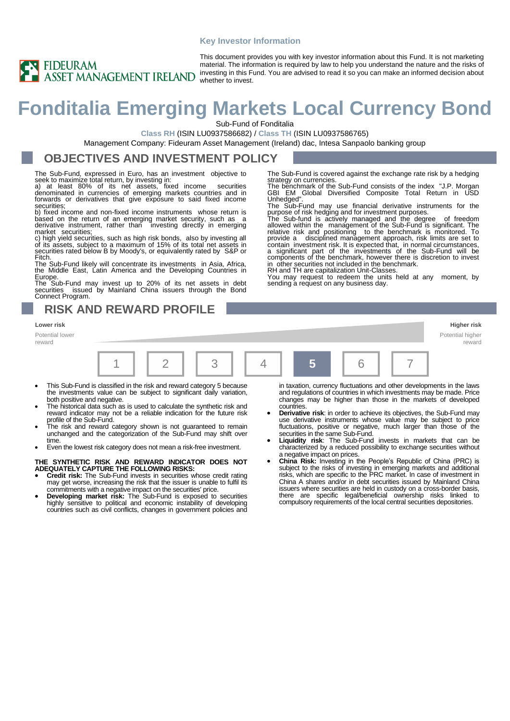### **Key Investor Information**



This document provides you with key investor information about this Fund. It is not marketing material. The information is required by law to help you understand the nature and the risks of investing in this Fund. You are advised to read it so you can make an informed decision about

# **Fonditalia Emerging Markets Local Currency Bond**

Sub-Fund of Fonditalia

**Class RH** (ISIN LU0937586682) / **Class TH** (ISIN LU0937586765)

Management Company: Fideuram Asset Management (Ireland) dac, Intesa Sanpaolo banking group

### **OBJECTIVES AND INVESTMENT POLICY**

The Sub-Fund, expressed in Euro, has an investment objective to

seek to maximize total return, by investing in:<br>a) at least 80% of its net assets, fixed income securities<br>denominated in currencies of emerging markets countries and in<br>forwards or derivatives that give exposure to said f securities;

b) fixed income and non-fixed income instruments whose return is based on the return of an emerging market security, such as a derivative instrument, rather than investing directly in emerging

market securities;<br>c) high yield securities, such as high risk bonds, also by investing all<br>of its assets, subject to a maximum of 15% of its total net assets in<br>securities rated below B by Moody's, or equivalently rated b Fitch.

The Sub-Fund likely will concentrate its investments in Asia, Africa, the Middle East, Latin America and the Developing Countries in

Europe. The Sub-Fund may invest up to 20% of its net assets in debt securities issued by Mainland China issuers through the Bond Connect Program.

### **RISK AND REWARD PROFILE**

Potential lower reward



- This Sub-Fund is classified in the risk and reward category 5 because the investments value can be subject to significant daily variation, both positive and negative.
- The historical data such as is used to calculate the synthetic risk and reward indicator may not be a reliable indication for the future risk profile of the Sub-Fund.
- The risk and reward category shown is not guaranteed to remain unchanged and the categorization of the Sub-Fund may shift over time.
- Even the lowest risk category does not mean a risk-free investment.

### **THE SYNTHETIC RISK AND REWARD INDICATOR DOES NOT ADEQUATELY CAPTURE THE FOLLOWING RISKS:**

- **Credit risk:** The Sub-Fund invests in securities whose credit rating may get worse, increasing the risk that the issuer is unable to fulfil its commitments with a negative impact on the securities' price.
- **Developing market risk:** The Sub-Fund is exposed to securities highly sensitive to political and economic instability of developing countries such as civil conflicts, changes in government policies and

in taxation, currency fluctuations and other developments in the laws and regulations of countries in which investments may be made. Price changes may be higher than those in the markets of developed countries.

The Sub-Fund is covered against the exchange rate risk by a hedging

strategy on currencies. The benchmark of the Sub-Fund consists of the index "J.P. Morgan GBI EM Global Diversified Composite Total Return in USD Unhedged". The Sub-Fund may use financial derivative instruments for the

purpose of risk hedging and for investment purposes.<br>The Sub-fund is actively managed and the degree of freedom<br>allowed within the management of the Sub-Fund is significant. The<br>relative risk and positioning to the benchma

contain investment risk. It is expected that, in normal circumstances, a significant part of the investments of the Sub-Fund will be components of the benchmark, however there is discretion to invest

RH and TH are capitalization Unit-Classes. You may request to redeem the units held at any moment, by

in other securities not included in the benchmark.

sending a request on any business day.

- **Derivative risk**: in order to achieve its objectives, the Sub-Fund may use derivative instruments whose value may be subject to price fluctuations, positive or negative, much larger than those of the securities in the same Sub-Fund. • **Liquidity risk**: The Sub-Fund invests in markets that can be
- characterized by a reduced possibility to exchange securities without a negative impact on prices.
- **China Risk:** Investing in the People's Republic of China (PRC) is subject to the risks of investing in emerging markets and additional risks, which are specific to the PRC market. In case of investment in China A shares and/or in debt securities issued by Mainland China issuers where securities are held in custody on a cross-border basis, there are specific legal/beneficial ownership risks linked to compulsory requirements of the local central securities depositories.